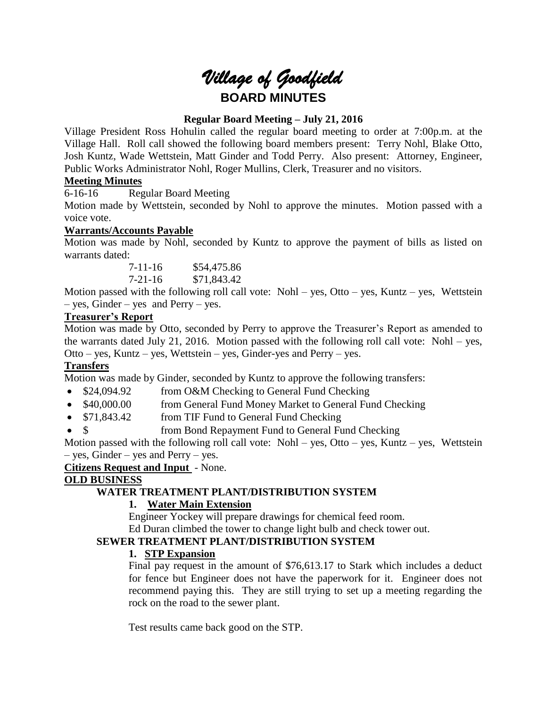# *Village of Goodfield* **BOARD MINUTES**

# **Regular Board Meeting – July 21, 2016**

Village President Ross Hohulin called the regular board meeting to order at 7:00p.m. at the Village Hall. Roll call showed the following board members present: Terry Nohl, Blake Otto, Josh Kuntz, Wade Wettstein, Matt Ginder and Todd Perry. Also present: Attorney, Engineer, Public Works Administrator Nohl, Roger Mullins, Clerk, Treasurer and no visitors.

# **Meeting Minutes**

6-16-16 Regular Board Meeting

Motion made by Wettstein, seconded by Nohl to approve the minutes. Motion passed with a voice vote.

# **Warrants/Accounts Payable**

Motion was made by Nohl, seconded by Kuntz to approve the payment of bills as listed on warrants dated:

> 7-11-16 \$54,475.86 7-21-16 \$71,843.42

Motion passed with the following roll call vote: Nohl – yes, Otto – yes, Kuntz – yes, Wettstein – yes, Ginder – yes and Perry – yes.

## **Treasurer's Report**

Motion was made by Otto, seconded by Perry to approve the Treasurer's Report as amended to the warrants dated July 21, 2016. Motion passed with the following roll call vote: Nohl – yes, Otto – yes, Kuntz – yes, Wettstein – yes, Ginder-yes and Perry – yes.

# **Transfers**

Motion was made by Ginder, seconded by Kuntz to approve the following transfers:

- \$24,094.92 from O&M Checking to General Fund Checking
- \$40,000.00 from General Fund Money Market to General Fund Checking
- \$71,843.42 from TIF Fund to General Fund Checking
- \$ from Bond Repayment Fund to General Fund Checking

Motion passed with the following roll call vote: Nohl – yes, Otto – yes, Kuntz – yes, Wettstein – yes, Ginder – yes and Perry – yes.

**Citizens Request and Input** - None.

# **OLD BUSINESS**

# **WATER TREATMENT PLANT/DISTRIBUTION SYSTEM**

# **1. Water Main Extension**

Engineer Yockey will prepare drawings for chemical feed room.

Ed Duran climbed the tower to change light bulb and check tower out.

# **SEWER TREATMENT PLANT/DISTRIBUTION SYSTEM**

## **1. STP Expansion**

Final pay request in the amount of \$76,613.17 to Stark which includes a deduct for fence but Engineer does not have the paperwork for it. Engineer does not recommend paying this. They are still trying to set up a meeting regarding the rock on the road to the sewer plant.

Test results came back good on the STP.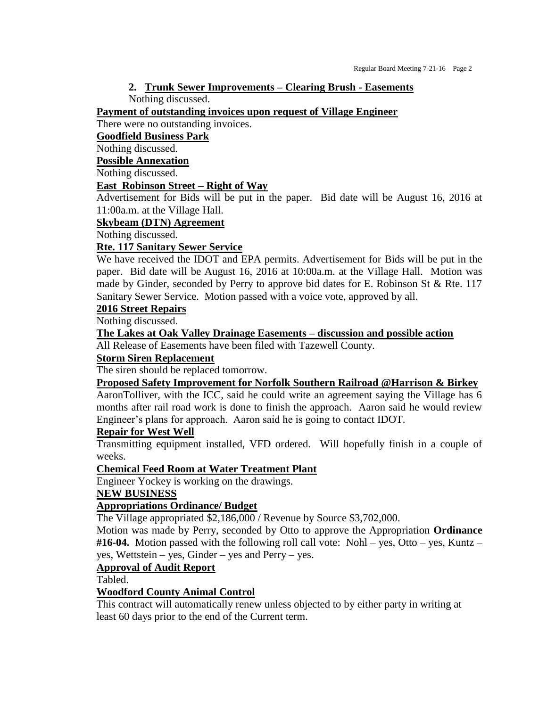# **2. Trunk Sewer Improvements – Clearing Brush - Easements**

Nothing discussed.

**Payment of outstanding invoices upon request of Village Engineer**

There were no outstanding invoices.

## **Goodfield Business Park**

Nothing discussed.

## **Possible Annexation**

Nothing discussed.

# **East Robinson Street – Right of Way**

Advertisement for Bids will be put in the paper. Bid date will be August 16, 2016 at 11:00a.m. at the Village Hall.

## **Skybeam (DTN) Agreement**

Nothing discussed.

# **Rte. 117 Sanitary Sewer Service**

We have received the IDOT and EPA permits. Advertisement for Bids will be put in the paper. Bid date will be August 16, 2016 at 10:00a.m. at the Village Hall. Motion was made by Ginder, seconded by Perry to approve bid dates for E. Robinson St & Rte. 117 Sanitary Sewer Service. Motion passed with a voice vote, approved by all.

## **2016 Street Repairs**

Nothing discussed.

# **The Lakes at Oak Valley Drainage Easements – discussion and possible action**

All Release of Easements have been filed with Tazewell County.

## **Storm Siren Replacement**

The siren should be replaced tomorrow.

## **Proposed Safety Improvement for Norfolk Southern Railroad @Harrison & Birkey**

AaronTolliver, with the ICC, said he could write an agreement saying the Village has 6 months after rail road work is done to finish the approach. Aaron said he would review Engineer's plans for approach. Aaron said he is going to contact IDOT.

## **Repair for West Well**

Transmitting equipment installed, VFD ordered. Will hopefully finish in a couple of weeks.

**Chemical Feed Room at Water Treatment Plant**

Engineer Yockey is working on the drawings.

## **NEW BUSINESS**

# **Appropriations Ordinance/ Budget**

The Village appropriated \$2,186,000 / Revenue by Source \$3,702,000.

Motion was made by Perry, seconded by Otto to approve the Appropriation **Ordinance #16-04.** Motion passed with the following roll call vote: Nohl – yes, Otto – yes, Kuntz – yes, Wettstein – yes, Ginder – yes and Perry – yes.

# **Approval of Audit Report**

Tabled.

## **Woodford County Animal Control**

This contract will automatically renew unless objected to by either party in writing at least 60 days prior to the end of the Current term.